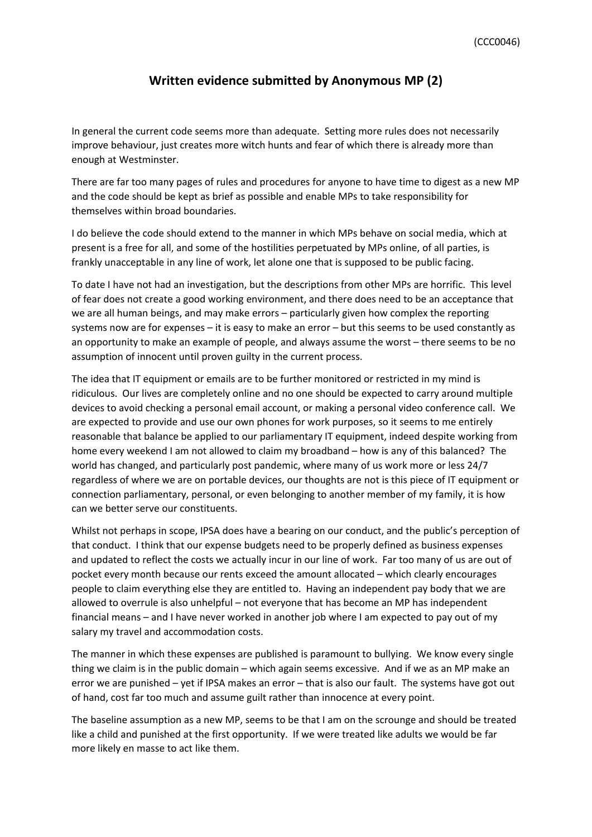## **Written evidence submitted by Anonymous MP (2)**

In general the current code seems more than adequate. Setting more rules does not necessarily improve behaviour, just creates more witch hunts and fear of which there is already more than enough at Westminster.

There are far too many pages of rules and procedures for anyone to have time to digest as a new MP and the code should be kept as brief as possible and enable MPs to take responsibility for themselves within broad boundaries.

I do believe the code should extend to the manner in which MPs behave on social media, which at present is a free for all, and some of the hostilities perpetuated by MPs online, of all parties, is frankly unacceptable in any line of work, let alone one that is supposed to be public facing.

To date I have not had an investigation, but the descriptions from other MPs are horrific. This level of fear does not create a good working environment, and there does need to be an acceptance that we are all human beings, and may make errors – particularly given how complex the reporting systems now are for expenses – it is easy to make an error – but this seems to be used constantly as an opportunity to make an example of people, and always assume the worst – there seems to be no assumption of innocent until proven guilty in the current process.

The idea that IT equipment or emails are to be further monitored or restricted in my mind is ridiculous. Our lives are completely online and no one should be expected to carry around multiple devices to avoid checking a personal email account, or making a personal video conference call. We are expected to provide and use our own phones for work purposes, so it seems to me entirely reasonable that balance be applied to our parliamentary IT equipment, indeed despite working from home every weekend I am not allowed to claim my broadband – how is any of this balanced? The world has changed, and particularly post pandemic, where many of us work more or less 24/7 regardless of where we are on portable devices, our thoughts are not is this piece of IT equipment or connection parliamentary, personal, or even belonging to another member of my family, it is how can we better serve our constituents.

Whilst not perhaps in scope, IPSA does have a bearing on our conduct, and the public's perception of that conduct. I think that our expense budgets need to be properly defined as business expenses and updated to reflect the costs we actually incur in our line of work. Far too many of us are out of pocket every month because our rents exceed the amount allocated – which clearly encourages people to claim everything else they are entitled to. Having an independent pay body that we are allowed to overrule is also unhelpful – not everyone that has become an MP has independent financial means – and I have never worked in another job where I am expected to pay out of my salary my travel and accommodation costs.

The manner in which these expenses are published is paramount to bullying. We know every single thing we claim is in the public domain – which again seems excessive. And if we as an MP make an error we are punished – yet if IPSA makes an error – that is also our fault. The systems have got out of hand, cost far too much and assume guilt rather than innocence at every point.

The baseline assumption as a new MP, seems to be that I am on the scrounge and should be treated like a child and punished at the first opportunity. If we were treated like adults we would be far more likely en masse to act like them.